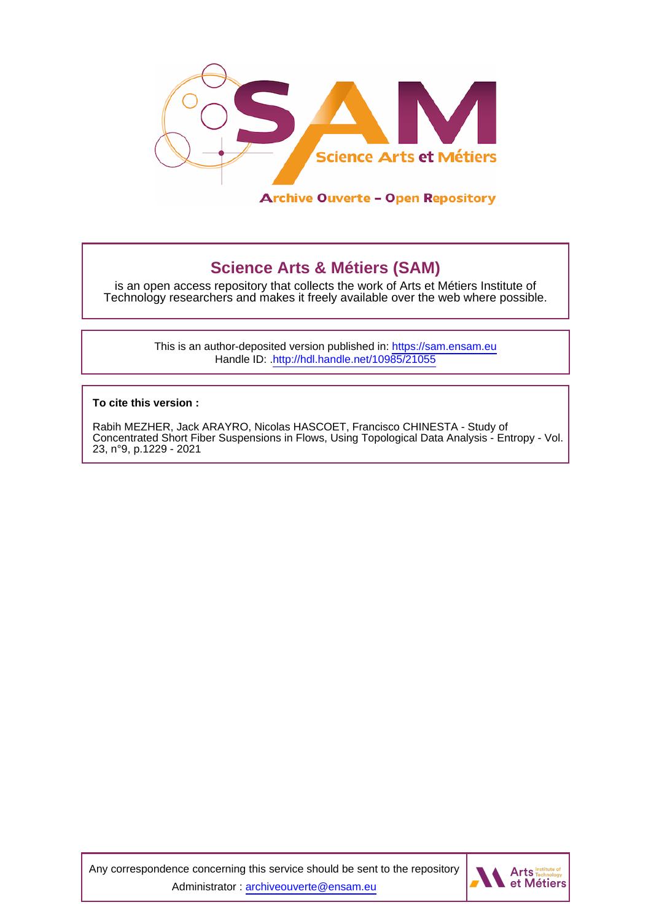

# **Science Arts & Métiers (SAM)**

is an open access repository that collects the work of Arts et Métiers Institute of Technology researchers and makes it freely available over the web where possible.

> This is an author-deposited version published in:<https://sam.ensam.eu> Handle ID: [.http://hdl.handle.net/10985/21055](http://hdl.handle.net/10985/21055)

**To cite this version :**

Rabih MEZHER, Jack ARAYRO, Nicolas HASCOET, Francisco CHINESTA - Study of Concentrated Short Fiber Suspensions in Flows, Using Topological Data Analysis - Entropy - Vol. 23, n°9, p.1229 - 2021

Any correspondence concerning this service should be sent to the repository Administrator : [archiveouverte@ensam.eu](mailto:archiveouverte@ensam.eu)

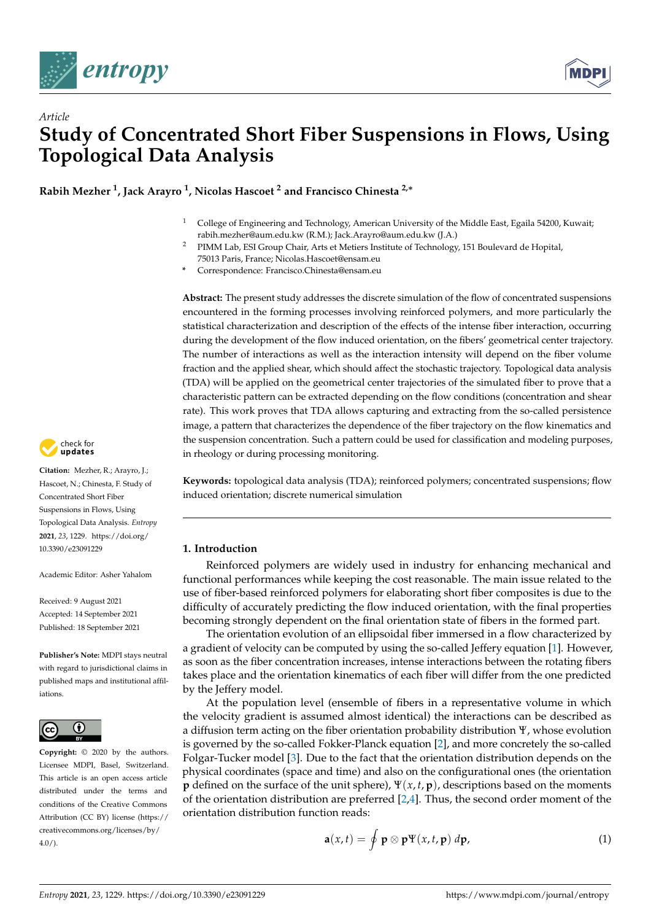

*Article*



# **Study of Concentrated Short Fiber Suspensions in Flows, Using Topological Data Analysis**

**Rabih Mezher <sup>1</sup> , Jack Arayro <sup>1</sup> , Nicolas Hascoet <sup>2</sup> and Francisco Chinesta 2,**<sup>∗</sup>

- <sup>1</sup> College of Engineering and Technology, American University of the Middle East, Egaila 54200, Kuwait; rabih.mezher@aum.edu.kw (R.M.); Jack.Arayro@aum.edu.kw (J.A.)
- <sup>2</sup> PIMM Lab, ESI Group Chair, Arts et Metiers Institute of Technology, 151 Boulevard de Hopital, 75013 Paris, France; Nicolas.Hascoet@ensam.eu
- **\*** Correspondence: Francisco.Chinesta@ensam.eu

**Abstract:** The present study addresses the discrete simulation of the flow of concentrated suspensions encountered in the forming processes involving reinforced polymers, and more particularly the statistical characterization and description of the effects of the intense fiber interaction, occurring during the development of the flow induced orientation, on the fibers' geometrical center trajectory. The number of interactions as well as the interaction intensity will depend on the fiber volume fraction and the applied shear, which should affect the stochastic trajectory. Topological data analysis (TDA) will be applied on the geometrical center trajectories of the simulated fiber to prove that a characteristic pattern can be extracted depending on the flow conditions (concentration and shear rate). This work proves that TDA allows capturing and extracting from the so-called persistence image, a pattern that characterizes the dependence of the fiber trajectory on the flow kinematics and the suspension concentration. Such a pattern could be used for classification and modeling purposes, in rheology or during processing monitoring.

**Keywords:** topological data analysis (TDA); reinforced polymers; concentrated suspensions; flow induced orientation; discrete numerical simulation

# **1. Introduction**

Reinforced polymers are widely used in industry for enhancing mechanical and functional performances while keeping the cost reasonable. The main issue related to the use of fiber-based reinforced polymers for elaborating short fiber composites is due to the difficulty of accurately predicting the flow induced orientation, with the final properties becoming strongly dependent on the final orientation state of fibers in the formed part.

The orientation evolution of an ellipsoidal fiber immersed in a flow characterized by a gradient of velocity can be computed by using the so-called Jeffery equation [\[1\]](#page-15-0). However, as soon as the fiber concentration increases, intense interactions between the rotating fibers takes place and the orientation kinematics of each fiber will differ from the one predicted by the Jeffery model.

At the population level (ensemble of fibers in a representative volume in which the velocity gradient is assumed almost identical) the interactions can be described as a diffusion term acting on the fiber orientation probability distribution Ψ, whose evolution is governed by the so-called Fokker-Planck equation [\[2\]](#page-15-1), and more concretely the so-called Folgar-Tucker model [\[3\]](#page-15-2). Due to the fact that the orientation distribution depends on the physical coordinates (space and time) and also on the configurational ones (the orientation **p** defined on the surface of the unit sphere), Ψ(*x*, *t*, **p**), descriptions based on the moments of the orientation distribution are preferred [\[2,](#page-15-1)[4\]](#page-15-3). Thus, the second order moment of the orientation distribution function reads:

$$
\mathbf{a}(x,t) = \oint \mathbf{p} \otimes \mathbf{p} \Psi(x,t,\mathbf{p}) \, d\mathbf{p},\tag{1}
$$



**Citation:** Mezher, R.; Arayro, J.; Hascoet, N.; Chinesta, F. Study of Concentrated Short Fiber Suspensions in Flows, Using Topological Data Analysis. *Entropy* **2021**, *23*, 1229. [https://doi.org/](https://doi.org/10.3390/e23091229) [10.3390/e23091229](https://doi.org/10.3390/e23091229)

Academic Editor: Asher Yahalom

Received: 9 August 2021 Accepted: 14 September 2021 Published: 18 September 2021

**Publisher's Note:** MDPI stays neutral with regard to jurisdictional claims in published maps and institutional affiliations.



**Copyright:** © 2020 by the authors. Licensee MDPI, Basel, Switzerland. This article is an open access article distributed under the terms and conditions of the Creative Commons Attribution (CC BY) license (https:/[/](https://creativecommons.org/licenses/by/4.0/) [creativecommons.org/licenses/by/](https://creativecommons.org/licenses/by/4.0/)  $4.0/$ ).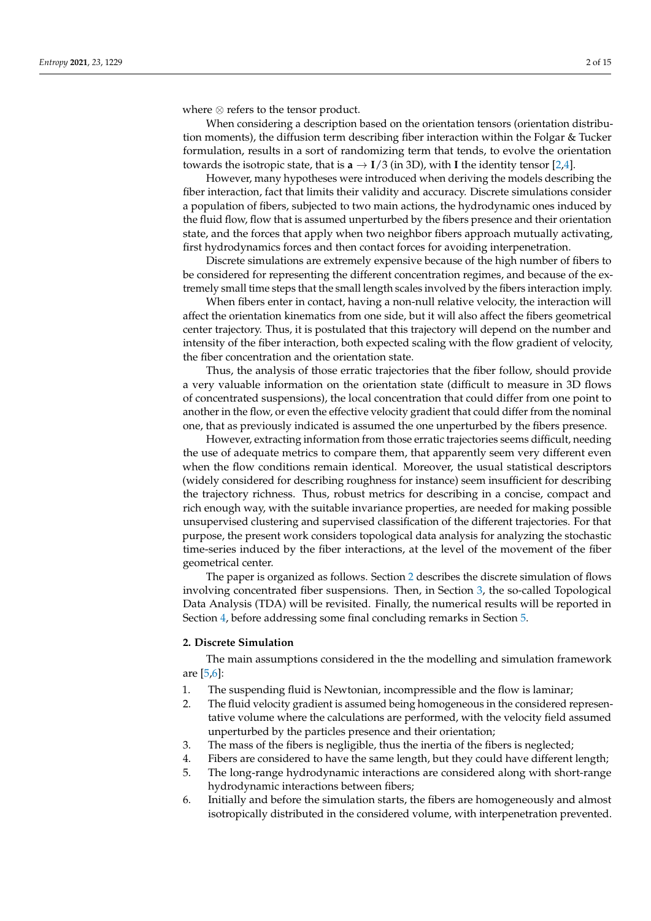where ⊗ refers to the tensor product.

When considering a description based on the orientation tensors (orientation distribution moments), the diffusion term describing fiber interaction within the Folgar & Tucker formulation, results in a sort of randomizing term that tends, to evolve the orientation towards the isotropic state, that is  $\mathbf{a} \to \mathbf{I}/3$  (in 3D), with **I** the identity tensor [\[2](#page-15-1)[,4\]](#page-15-3).

However, many hypotheses were introduced when deriving the models describing the fiber interaction, fact that limits their validity and accuracy. Discrete simulations consider a population of fibers, subjected to two main actions, the hydrodynamic ones induced by the fluid flow, flow that is assumed unperturbed by the fibers presence and their orientation state, and the forces that apply when two neighbor fibers approach mutually activating, first hydrodynamics forces and then contact forces for avoiding interpenetration.

Discrete simulations are extremely expensive because of the high number of fibers to be considered for representing the different concentration regimes, and because of the extremely small time steps that the small length scales involved by the fibers interaction imply.

When fibers enter in contact, having a non-null relative velocity, the interaction will affect the orientation kinematics from one side, but it will also affect the fibers geometrical center trajectory. Thus, it is postulated that this trajectory will depend on the number and intensity of the fiber interaction, both expected scaling with the flow gradient of velocity, the fiber concentration and the orientation state.

Thus, the analysis of those erratic trajectories that the fiber follow, should provide a very valuable information on the orientation state (difficult to measure in 3D flows of concentrated suspensions), the local concentration that could differ from one point to another in the flow, or even the effective velocity gradient that could differ from the nominal one, that as previously indicated is assumed the one unperturbed by the fibers presence.

However, extracting information from those erratic trajectories seems difficult, needing the use of adequate metrics to compare them, that apparently seem very different even when the flow conditions remain identical. Moreover, the usual statistical descriptors (widely considered for describing roughness for instance) seem insufficient for describing the trajectory richness. Thus, robust metrics for describing in a concise, compact and rich enough way, with the suitable invariance properties, are needed for making possible unsupervised clustering and supervised classification of the different trajectories. For that purpose, the present work considers topological data analysis for analyzing the stochastic time-series induced by the fiber interactions, at the level of the movement of the fiber geometrical center.

The paper is organized as follows. Section [2](#page-2-0) describes the discrete simulation of flows involving concentrated fiber suspensions. Then, in Section [3,](#page-5-0) the so-called Topological Data Analysis (TDA) will be revisited. Finally, the numerical results will be reported in Section [4,](#page-6-0) before addressing some final concluding remarks in Section [5.](#page-14-0)

#### <span id="page-2-0"></span>**2. Discrete Simulation**

The main assumptions considered in the the modelling and simulation framework are [\[5,](#page-15-4)[6\]](#page-15-5):

- 1. The suspending fluid is Newtonian, incompressible and the flow is laminar;
- 2. The fluid velocity gradient is assumed being homogeneous in the considered representative volume where the calculations are performed, with the velocity field assumed unperturbed by the particles presence and their orientation;
- 3. The mass of the fibers is negligible, thus the inertia of the fibers is neglected;
- 4. Fibers are considered to have the same length, but they could have different length;
- 5. The long-range hydrodynamic interactions are considered along with short-range hydrodynamic interactions between fibers;
- 6. Initially and before the simulation starts, the fibers are homogeneously and almost isotropically distributed in the considered volume, with interpenetration prevented.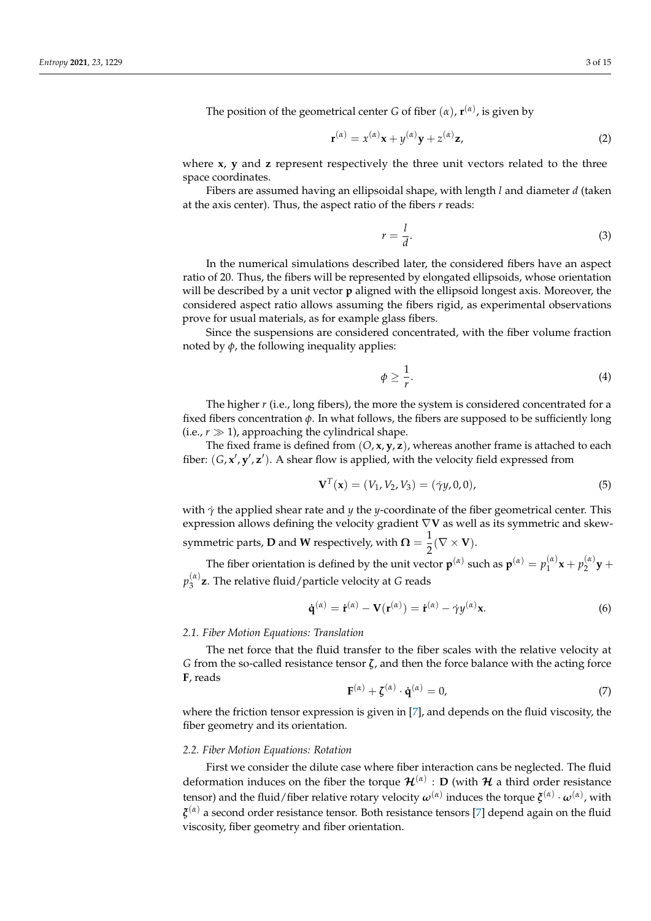The position of the geometrical center *G* of fiber  $(\alpha)$ ,  $\mathbf{r}^{(\alpha)}$ , is given by

$$
\mathbf{r}^{(\alpha)} = x^{(\alpha)}\mathbf{x} + y^{(\alpha)}\mathbf{y} + z^{(\alpha)}\mathbf{z},\tag{2}
$$

where **x**, **y** and **z** represent respectively the three unit vectors related to the three space coordinates.

Fibers are assumed having an ellipsoidal shape, with length *l* and diameter *d* (taken at the axis center). Thus, the aspect ratio of the fibers *r* reads:

*r* =

$$
=\frac{l}{d}.
$$
 (3)

In the numerical simulations described later, the considered fibers have an aspect ratio of 20. Thus, the fibers will be represented by elongated ellipsoids, whose orientation will be described by a unit vector **p** aligned with the ellipsoid longest axis. Moreover, the considered aspect ratio allows assuming the fibers rigid, as experimental observations prove for usual materials, as for example glass fibers.

Since the suspensions are considered concentrated, with the fiber volume fraction noted by  $\phi$ , the following inequality applies:

$$
\phi \ge \frac{1}{r}.\tag{4}
$$

The higher *r* (i.e., long fibers), the more the system is considered concentrated for a fixed fibers concentration  $\phi$ . In what follows, the fibers are supposed to be sufficiently long (i.e.,  $r \gg 1$ ), approaching the cylindrical shape.

The fixed frame is defined from (*O*, **x**, **y**, **z**), whereas another frame is attached to each fiber:  $(G, x', y', z')$ . A shear flow is applied, with the velocity field expressed from

$$
\mathbf{V}^{T}(\mathbf{x}) = (V_1, V_2, V_3) = (\dot{\gamma}y, 0, 0),
$$
\n(5)

with *γ*˙ the applied shear rate and *y* the *y*-coordinate of the fiber geometrical center. This expression allows defining the velocity gradient ∇**V** as well as its symmetric and skewsymmetric parts, **D** and **W** respectively, with  $\mathbf{\Omega} = \frac{1}{2}(\nabla \times \mathbf{V}).$ 2

The fiber orientation is defined by the unit vector  $\mathbf{p}^{(\alpha)}$  such as  $\mathbf{p}^{(\alpha)} = p_1^{(\alpha)}$  $p_1^{(\alpha)}\mathbf{x}+p_2^{(\alpha)}$  $y^{(\alpha)}_2$  +  $p_3^{(\alpha)}$ 3 **z**. The relative fluid/particle velocity at *G* reads

$$
\dot{\mathbf{q}}^{(\alpha)} = \dot{\mathbf{r}}^{(\alpha)} - \mathbf{V}(\mathbf{r}^{(\alpha)}) = \dot{\mathbf{r}}^{(\alpha)} - \dot{\gamma}y^{(\alpha)}\mathbf{x}.
$$
 (6)

#### *2.1. Fiber Motion Equations: Translation*

The net force that the fluid transfer to the fiber scales with the relative velocity at *G* from the so-called resistance tensor *ζ*, and then the force balance with the acting force **F**, reads

$$
\mathbf{F}^{(\alpha)} + \zeta^{(\alpha)} \cdot \dot{\mathbf{q}}^{(\alpha)} = 0,\tag{7}
$$

where the friction tensor expression is given in [\[7\]](#page-15-6), and depends on the fluid viscosity, the fiber geometry and its orientation.

### *2.2. Fiber Motion Equations: Rotation*

First we consider the dilute case where fiber interaction cans be neglected. The fluid deformation induces on the fiber the torque  $\mathcal{H}^{(\alpha)}: \mathsf{D}$  (with  $\mathcal H$  a third order resistance tensor) and the fluid/fiber relative rotary velocity  $\omega^{(\alpha)}$  induces the torque  $\xi^{(\alpha)}\cdot\omega^{(\alpha)}$ , with *ξ* (*α*) a second order resistance tensor. Both resistance tensors [\[7\]](#page-15-6) depend again on the fluid viscosity, fiber geometry and fiber orientation.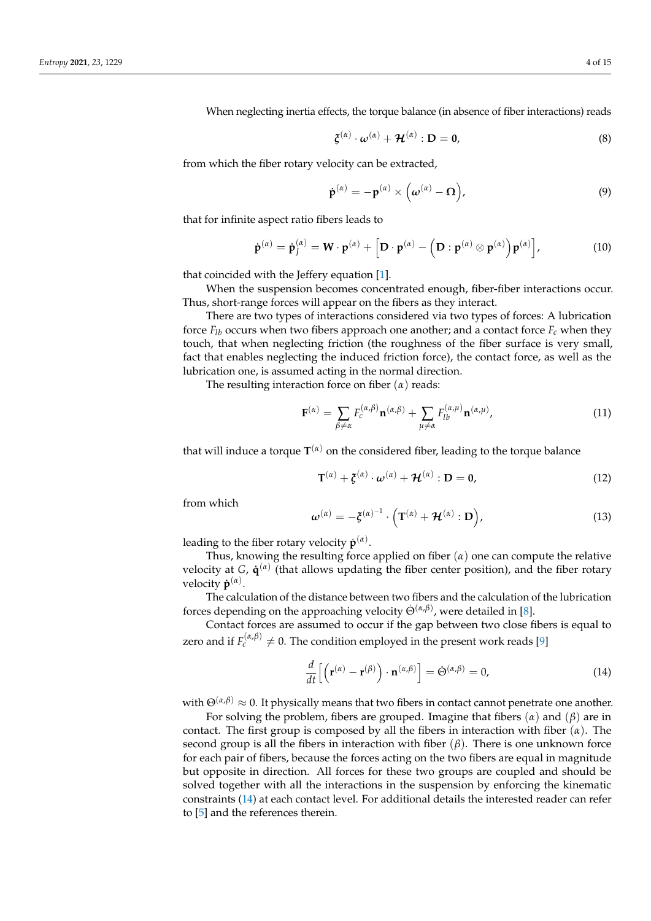When neglecting inertia effects, the torque balance (in absence of fiber interactions) reads

$$
\xi^{(\alpha)} \cdot \omega^{(\alpha)} + \mathcal{H}^{(\alpha)} : \mathbf{D} = \mathbf{0}, \tag{8}
$$

from which the fiber rotary velocity can be extracted,

$$
\dot{\mathbf{p}}^{(\alpha)} = -\mathbf{p}^{(\alpha)} \times (\boldsymbol{\omega}^{(\alpha)} - \boldsymbol{\Omega}), \tag{9}
$$

that for infinite aspect ratio fibers leads to

$$
\dot{\mathbf{p}}^{(\alpha)} = \dot{\mathbf{p}}_j^{(\alpha)} = \mathbf{W} \cdot \mathbf{p}^{(\alpha)} + \left[ \mathbf{D} \cdot \mathbf{p}^{(\alpha)} - \left( \mathbf{D} : \mathbf{p}^{(\alpha)} \otimes \mathbf{p}^{(\alpha)} \right) \mathbf{p}^{(\alpha)} \right],
$$
(10)

that coincided with the Jeffery equation [\[1\]](#page-15-0).

When the suspension becomes concentrated enough, fiber-fiber interactions occur. Thus, short-range forces will appear on the fibers as they interact.

There are two types of interactions considered via two types of forces: A lubrication force  $F_{lh}$  occurs when two fibers approach one another; and a contact force  $F_c$  when they touch, that when neglecting friction (the roughness of the fiber surface is very small, fact that enables neglecting the induced friction force), the contact force, as well as the lubrication one, is assumed acting in the normal direction.

The resulting interaction force on fiber (*α*) reads:

$$
\mathbf{F}^{(\alpha)} = \sum_{\beta \neq \alpha} F_c^{(\alpha,\beta)} \mathbf{n}^{(\alpha,\beta)} + \sum_{\mu \neq \alpha} F_{lb}^{(\alpha,\mu)} \mathbf{n}^{(\alpha,\mu)}, \tag{11}
$$

that will induce a torque **T** (*α*) on the considered fiber, leading to the torque balance

$$
\mathbf{T}^{(\alpha)} + \boldsymbol{\xi}^{(\alpha)} \cdot \boldsymbol{\omega}^{(\alpha)} + \boldsymbol{\mathcal{H}}^{(\alpha)} : \mathbf{D} = \mathbf{0},
$$
 (12)

from which

$$
\boldsymbol{\omega}^{(\alpha)} = -\boldsymbol{\xi}^{(\alpha)^{-1}} \cdot \left( \mathbf{T}^{(\alpha)} + \boldsymbol{\mathcal{H}}^{(\alpha)} : \mathbf{D} \right), \tag{13}
$$

leading to the fiber rotary velocity  $\dot{\mathbf{p}}^{(\alpha)}$ .

Thus, knowing the resulting force applied on fiber (*α*) one can compute the relative velocity at *G*,  $\dot{\mathbf{q}}^{(\alpha)}$  (that allows updating the fiber center position), and the fiber rotary velocity  $\dot{\mathbf{p}}^{(\alpha)}$ .

The calculation of the distance between two fibers and the calculation of the lubrication forces depending on the approaching velocity  $\Theta^{(\alpha,\beta)}$ , were detailed in [\[8\]](#page-15-7).

Contact forces are assumed to occur if the gap between two close fibers is equal to zero and if  $F_c^{(\alpha,\beta)} \neq 0$ . The condition employed in the present work reads [\[9\]](#page-15-8)

<span id="page-4-0"></span>
$$
\frac{d}{dt}\left[\left(\mathbf{r}^{(\alpha)}-\mathbf{r}^{(\beta)}\right)\cdot\mathbf{n}^{(\alpha,\beta)}\right]=\dot{\Theta}^{(\alpha,\beta)}=0,
$$
\n(14)

with  $\Theta^{(\alpha,\beta)} \approx 0$ . It physically means that two fibers in contact cannot penetrate one another.

For solving the problem, fibers are grouped. Imagine that fibers (*α*) and (*β*) are in contact. The first group is composed by all the fibers in interaction with fiber (*α*). The second group is all the fibers in interaction with fiber  $(\beta)$ . There is one unknown force for each pair of fibers, because the forces acting on the two fibers are equal in magnitude but opposite in direction. All forces for these two groups are coupled and should be solved together with all the interactions in the suspension by enforcing the kinematic constraints [\(14\)](#page-4-0) at each contact level. For additional details the interested reader can refer to [\[5\]](#page-15-4) and the references therein.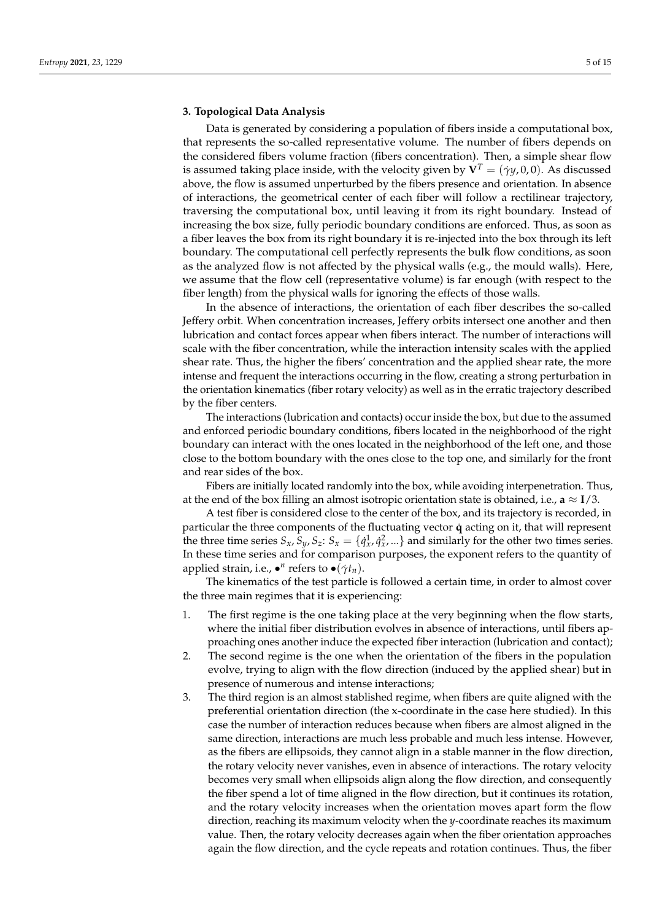### <span id="page-5-0"></span>**3. Topological Data Analysis**

Data is generated by considering a population of fibers inside a computational box, that represents the so-called representative volume. The number of fibers depends on the considered fibers volume fraction (fibers concentration). Then, a simple shear flow is assumed taking place inside, with the velocity given by  $V^T = (\gamma y, 0, 0)$ . As discussed above, the flow is assumed unperturbed by the fibers presence and orientation. In absence of interactions, the geometrical center of each fiber will follow a rectilinear trajectory, traversing the computational box, until leaving it from its right boundary. Instead of increasing the box size, fully periodic boundary conditions are enforced. Thus, as soon as a fiber leaves the box from its right boundary it is re-injected into the box through its left boundary. The computational cell perfectly represents the bulk flow conditions, as soon as the analyzed flow is not affected by the physical walls (e.g., the mould walls). Here, we assume that the flow cell (representative volume) is far enough (with respect to the fiber length) from the physical walls for ignoring the effects of those walls.

In the absence of interactions, the orientation of each fiber describes the so-called Jeffery orbit. When concentration increases, Jeffery orbits intersect one another and then lubrication and contact forces appear when fibers interact. The number of interactions will scale with the fiber concentration, while the interaction intensity scales with the applied shear rate. Thus, the higher the fibers' concentration and the applied shear rate, the more intense and frequent the interactions occurring in the flow, creating a strong perturbation in the orientation kinematics (fiber rotary velocity) as well as in the erratic trajectory described by the fiber centers.

The interactions (lubrication and contacts) occur inside the box, but due to the assumed and enforced periodic boundary conditions, fibers located in the neighborhood of the right boundary can interact with the ones located in the neighborhood of the left one, and those close to the bottom boundary with the ones close to the top one, and similarly for the front and rear sides of the box.

Fibers are initially located randomly into the box, while avoiding interpenetration. Thus, at the end of the box filling an almost isotropic orientation state is obtained, i.e.,  $\mathbf{a} \approx \mathbf{I}/3$ .

A test fiber is considered close to the center of the box, and its trajectory is recorded, in particular the three components of the fluctuating vector **q**˙ acting on it, that will represent the three time series  $S_x$ ,  $S_y$ ,  $S_z$ :  $S_x = \{q_x^1, q_x^2, ...\}$  and similarly for the other two times series. In these time series and for comparison purposes, the exponent refers to the quantity of applied strain, i.e.,  $\bullet^n$  refers to  $\bullet(\dot{\gamma}t_n)$ .

The kinematics of the test particle is followed a certain time, in order to almost cover the three main regimes that it is experiencing:

- 1. The first regime is the one taking place at the very beginning when the flow starts, where the initial fiber distribution evolves in absence of interactions, until fibers approaching ones another induce the expected fiber interaction (lubrication and contact);
- 2. The second regime is the one when the orientation of the fibers in the population evolve, trying to align with the flow direction (induced by the applied shear) but in presence of numerous and intense interactions;
- 3. The third region is an almost stablished regime, when fibers are quite aligned with the preferential orientation direction (the x-coordinate in the case here studied). In this case the number of interaction reduces because when fibers are almost aligned in the same direction, interactions are much less probable and much less intense. However, as the fibers are ellipsoids, they cannot align in a stable manner in the flow direction, the rotary velocity never vanishes, even in absence of interactions. The rotary velocity becomes very small when ellipsoids align along the flow direction, and consequently the fiber spend a lot of time aligned in the flow direction, but it continues its rotation, and the rotary velocity increases when the orientation moves apart form the flow direction, reaching its maximum velocity when the *y*-coordinate reaches its maximum value. Then, the rotary velocity decreases again when the fiber orientation approaches again the flow direction, and the cycle repeats and rotation continues. Thus, the fiber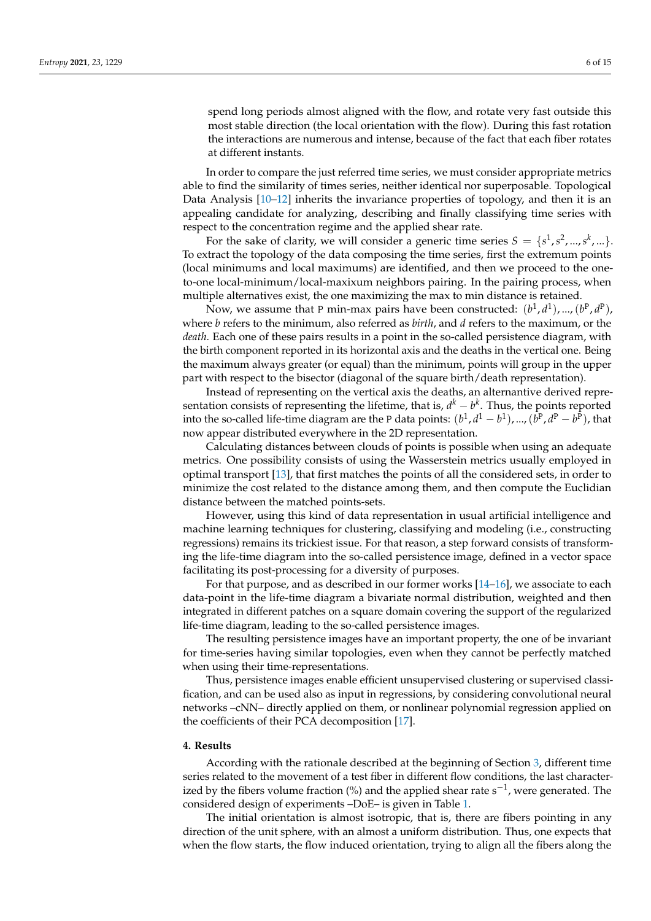spend long periods almost aligned with the flow, and rotate very fast outside this most stable direction (the local orientation with the flow). During this fast rotation the interactions are numerous and intense, because of the fact that each fiber rotates at different instants.

In order to compare the just referred time series, we must consider appropriate metrics able to find the similarity of times series, neither identical nor superposable. Topological Data Analysis  $[10-12]$  $[10-12]$  inherits the invariance properties of topology, and then it is an appealing candidate for analyzing, describing and finally classifying time series with respect to the concentration regime and the applied shear rate.

For the sake of clarity, we will consider a generic time series  $S = \{s^1, s^2, ..., s^k, ...\}$ . To extract the topology of the data composing the time series, first the extremum points (local minimums and local maximums) are identified, and then we proceed to the oneto-one local-minimum/local-maxixum neighbors pairing. In the pairing process, when multiple alternatives exist, the one maximizing the max to min distance is retained.

Now, we assume that P min-max pairs have been constructed:  $(b^1, d^1)$ , ...,  $(b^P, d^P)$ , where *b* refers to the minimum, also referred as *birth*, and *d* refers to the maximum, or the *death*. Each one of these pairs results in a point in the so-called persistence diagram, with the birth component reported in its horizontal axis and the deaths in the vertical one. Being the maximum always greater (or equal) than the minimum, points will group in the upper part with respect to the bisector (diagonal of the square birth/death representation).

Instead of representing on the vertical axis the deaths, an alternantive derived representation consists of representing the lifetime, that is,  $d^k - b^k$ . Thus, the points reported into the so-called life-time diagram are the P data points:  $(b^1, d^1 - b^1)$ , ...,  $(b^P, d^P - b^P)$ , that now appear distributed everywhere in the 2D representation.

Calculating distances between clouds of points is possible when using an adequate metrics. One possibility consists of using the Wasserstein metrics usually employed in optimal transport [\[13\]](#page-15-11), that first matches the points of all the considered sets, in order to minimize the cost related to the distance among them, and then compute the Euclidian distance between the matched points-sets.

However, using this kind of data representation in usual artificial intelligence and machine learning techniques for clustering, classifying and modeling (i.e., constructing regressions) remains its trickiest issue. For that reason, a step forward consists of transforming the life-time diagram into the so-called persistence image, defined in a vector space facilitating its post-processing for a diversity of purposes.

For that purpose, and as described in our former works [\[14–](#page-15-12)[16\]](#page-15-13), we associate to each data-point in the life-time diagram a bivariate normal distribution, weighted and then integrated in different patches on a square domain covering the support of the regularized life-time diagram, leading to the so-called persistence images.

The resulting persistence images have an important property, the one of be invariant for time-series having similar topologies, even when they cannot be perfectly matched when using their time-representations.

Thus, persistence images enable efficient unsupervised clustering or supervised classification, and can be used also as input in regressions, by considering convolutional neural networks –cNN– directly applied on them, or nonlinear polynomial regression applied on the coefficients of their PCA decomposition [\[17\]](#page-15-14).

#### <span id="page-6-0"></span>**4. Results**

According with the rationale described at the beginning of Section [3,](#page-5-0) different time series related to the movement of a test fiber in different flow conditions, the last characterized by the fibers volume fraction (%) and the applied shear rate s<sup>-1</sup>, were generated. The considered design of experiments –DoE– is given in Table [1.](#page-7-0)

The initial orientation is almost isotropic, that is, there are fibers pointing in any direction of the unit sphere, with an almost a uniform distribution. Thus, one expects that when the flow starts, the flow induced orientation, trying to align all the fibers along the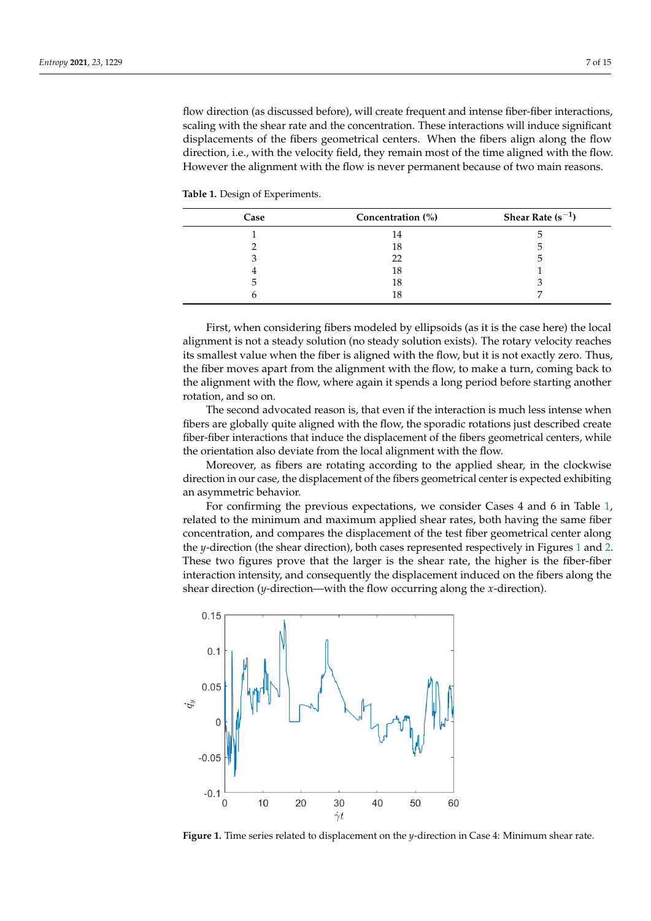flow direction (as discussed before), will create frequent and intense fiber-fiber interactions, scaling with the shear rate and the concentration. These interactions will induce significant displacements of the fibers geometrical centers. When the fibers align along the flow direction, i.e., with the velocity field, they remain most of the time aligned with the flow. However the alignment with the flow is never permanent because of two main reasons.

<span id="page-7-0"></span>**Table 1.** Design of Experiments.

| Case | Concentration (%) | Shear Rate $(s^{-1})$ |
|------|-------------------|-----------------------|
|      |                   |                       |
|      | 18                |                       |
|      |                   |                       |
|      | 18                |                       |
|      | 18                |                       |
|      |                   |                       |

First, when considering fibers modeled by ellipsoids (as it is the case here) the local alignment is not a steady solution (no steady solution exists). The rotary velocity reaches its smallest value when the fiber is aligned with the flow, but it is not exactly zero. Thus, the fiber moves apart from the alignment with the flow, to make a turn, coming back to the alignment with the flow, where again it spends a long period before starting another rotation, and so on.

The second advocated reason is, that even if the interaction is much less intense when fibers are globally quite aligned with the flow, the sporadic rotations just described create fiber-fiber interactions that induce the displacement of the fibers geometrical centers, while the orientation also deviate from the local alignment with the flow.

Moreover, as fibers are rotating according to the applied shear, in the clockwise direction in our case, the displacement of the fibers geometrical center is expected exhibiting an asymmetric behavior.

For confirming the previous expectations, we consider Cases 4 and 6 in Table [1,](#page-7-0) related to the minimum and maximum applied shear rates, both having the same fiber concentration, and compares the displacement of the test fiber geometrical center along the *y*-direction (the shear direction), both cases represented respectively in Figures [1](#page-7-1) and [2.](#page-8-0) These two figures prove that the larger is the shear rate, the higher is the fiber-fiber interaction intensity, and consequently the displacement induced on the fibers along the shear direction (*y*-direction—with the flow occurring along the *x*-direction).

<span id="page-7-1"></span>

**Figure 1.** Time series related to displacement on the *y*-direction in Case 4: Minimum shear rate.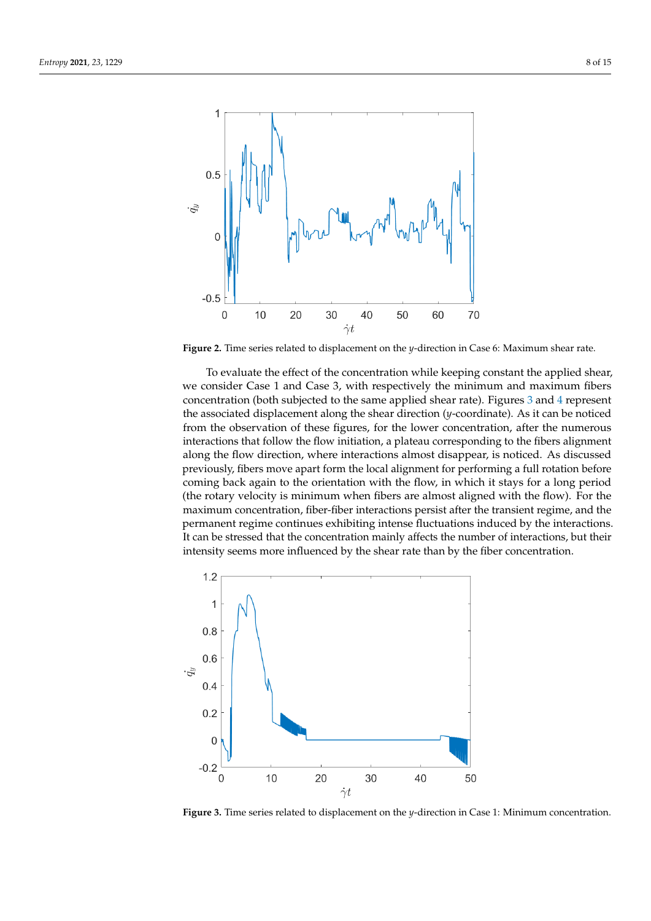<span id="page-8-0"></span>

**Figure 2.** Time series related to displacement on the *y*-direction in Case 6: Maximum shear rate.

To evaluate the effect of the concentration while keeping constant the applied shear, we consider Case 1 and Case 3, with respectively the minimum and maximum fibers concentration (both subjected to the same applied shear rate). Figures [3](#page-8-1) and [4](#page-9-0) represent the associated displacement along the shear direction (*y*-coordinate). As it can be noticed from the observation of these figures, for the lower concentration, after the numerous interactions that follow the flow initiation, a plateau corresponding to the fibers alignment along the flow direction, where interactions almost disappear, is noticed. As discussed previously, fibers move apart form the local alignment for performing a full rotation before coming back again to the orientation with the flow, in which it stays for a long period (the rotary velocity is minimum when fibers are almost aligned with the flow). For the maximum concentration, fiber-fiber interactions persist after the transient regime, and the permanent regime continues exhibiting intense fluctuations induced by the interactions. It can be stressed that the concentration mainly affects the number of interactions, but their intensity seems more influenced by the shear rate than by the fiber concentration.

<span id="page-8-1"></span>

**Figure 3.** Time series related to displacement on the *y*-direction in Case 1: Minimum concentration.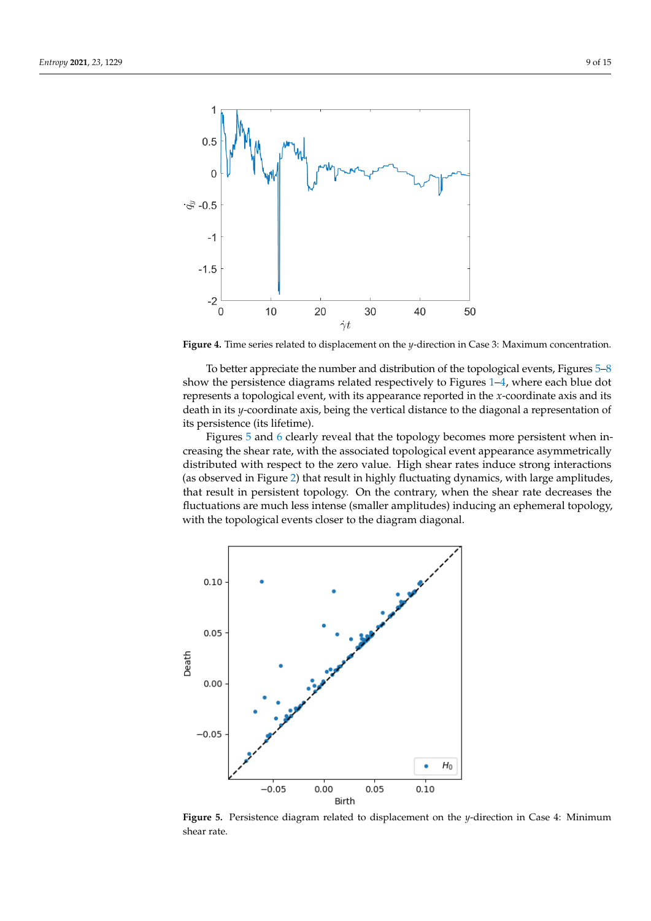<span id="page-9-0"></span>

**Figure 4.** Time series related to displacement on the *y*-direction in Case 3: Maximum concentration.

To better appreciate the number and distribution of the topological events, Figures [5](#page-9-1)[–8](#page-11-0) show the persistence diagrams related respectively to Figures [1](#page-7-1)[–4,](#page-9-0) where each blue dot represents a topological event, with its appearance reported in the *x*-coordinate axis and its death in its *y*-coordinate axis, being the vertical distance to the diagonal a representation of its persistence (its lifetime).

Figures [5](#page-9-1) and [6](#page-10-0) clearly reveal that the topology becomes more persistent when increasing the shear rate, with the associated topological event appearance asymmetrically distributed with respect to the zero value. High shear rates induce strong interactions (as observed in Figure [2\)](#page-8-0) that result in highly fluctuating dynamics, with large amplitudes, that result in persistent topology. On the contrary, when the shear rate decreases the fluctuations are much less intense (smaller amplitudes) inducing an ephemeral topology, with the topological events closer to the diagram diagonal.

<span id="page-9-1"></span>

**Figure 5.** Persistence diagram related to displacement on the *y*-direction in Case 4: Minimum shear rate.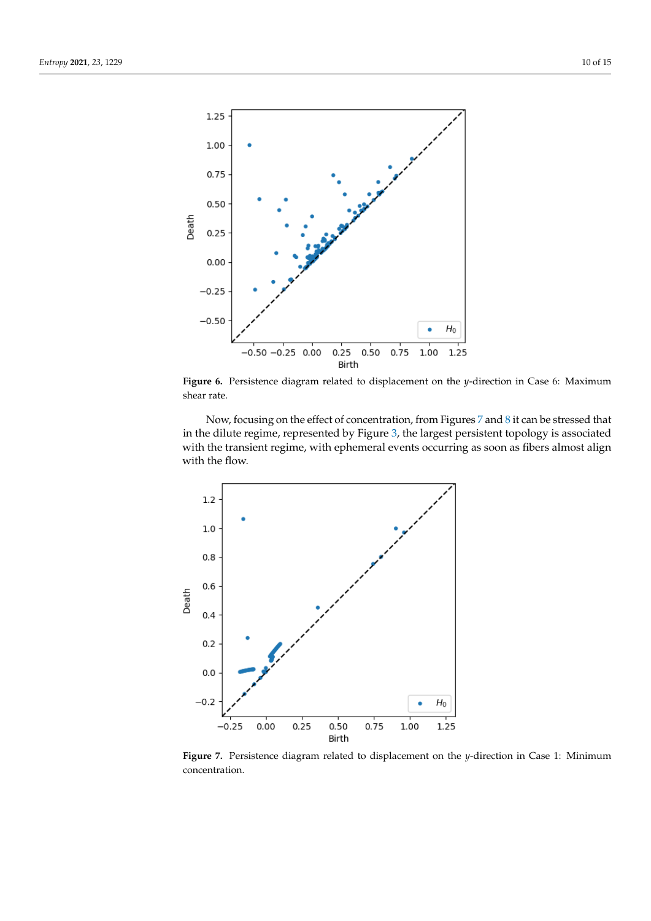<span id="page-10-0"></span>

**Figure 6.** Persistence diagram related to displacement on the *y*-direction in Case 6: Maximum shear rate.

Now, focusing on the effect of concentration, from Figures [7](#page-10-1) and [8](#page-11-0) it can be stressed that in the dilute regime, represented by Figure [3,](#page-8-1) the largest persistent topology is associated with the transient regime, with ephemeral events occurring as soon as fibers almost align with the flow.

<span id="page-10-1"></span>

**Figure 7.** Persistence diagram related to displacement on the *y*-direction in Case 1: Minimum concentration.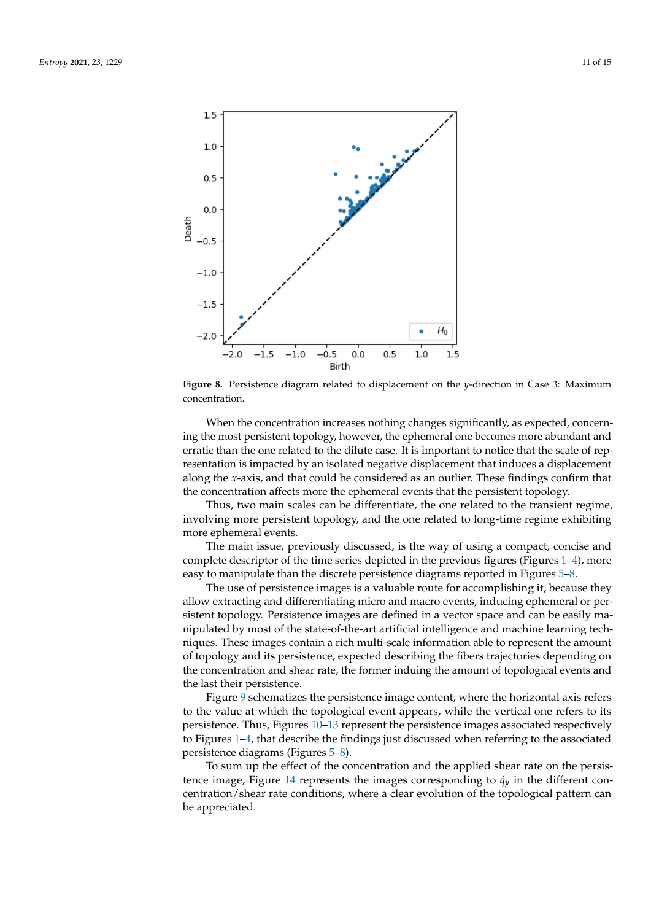<span id="page-11-0"></span>

**Figure 8.** Persistence diagram related to displacement on the *y*-direction in Case 3: Maximum concentration.

When the concentration increases nothing changes significantly, as expected, concerning the most persistent topology, however, the ephemeral one becomes more abundant and erratic than the one related to the dilute case. It is important to notice that the scale of representation is impacted by an isolated negative displacement that induces a displacement along the *x*-axis, and that could be considered as an outlier. These findings confirm that the concentration affects more the ephemeral events that the persistent topology.

Thus, two main scales can be differentiate, the one related to the transient regime, involving more persistent topology, and the one related to long-time regime exhibiting more ephemeral events.

The main issue, previously discussed, is the way of using a compact, concise and complete descriptor of the time series depicted in the previous figures (Figures [1](#page-7-1)[–4\)](#page-9-0), more easy to manipulate than the discrete persistence diagrams reported in Figures [5–](#page-9-1)[8.](#page-11-0)

The use of persistence images is a valuable route for accomplishing it, because they allow extracting and differentiating micro and macro events, inducing ephemeral or persistent topology. Persistence images are defined in a vector space and can be easily manipulated by most of the state-of-the-art artificial intelligence and machine learning techniques. These images contain a rich multi-scale information able to represent the amount of topology and its persistence, expected describing the fibers trajectories depending on the concentration and shear rate, the former induing the amount of topological events and the last their persistence.

Figure [9](#page-12-0) schematizes the persistence image content, where the horizontal axis refers to the value at which the topological event appears, while the vertical one refers to its persistence. Thus, Figures [10–](#page-12-1)[13](#page-14-1) represent the persistence images associated respectively to Figures [1–](#page-7-1)[4,](#page-9-0) that describe the findings just discussed when referring to the associated persistence diagrams (Figures [5–](#page-9-1)[8\)](#page-11-0).

To sum up the effect of the concentration and the applied shear rate on the persis-tence image, Figure [14](#page-14-2) represents the images corresponding to  $\dot{q}_y$  in the different concentration/shear rate conditions, where a clear evolution of the topological pattern can be appreciated.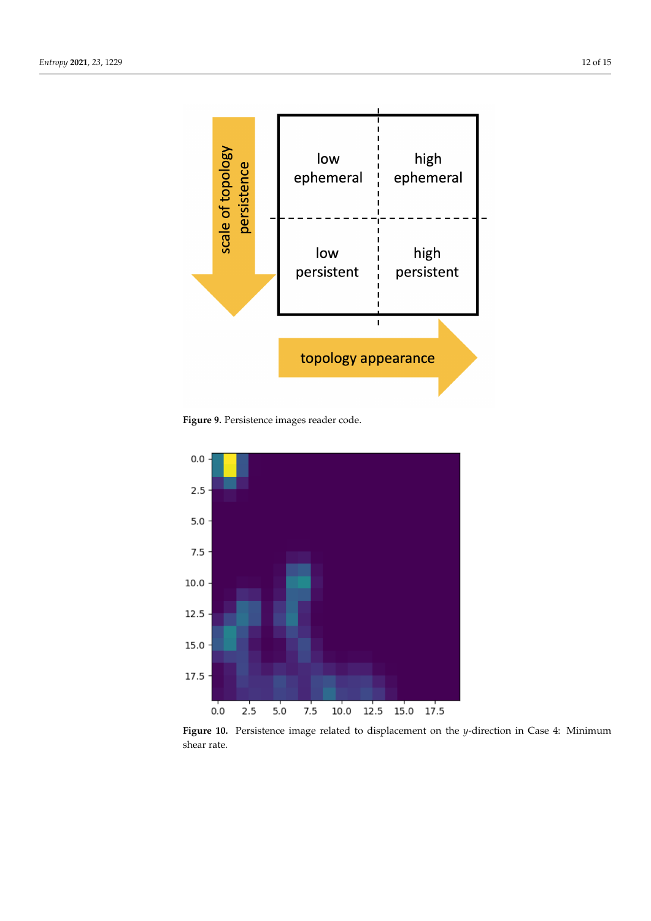<span id="page-12-0"></span>

**Figure 9.** Persistence images reader code.

<span id="page-12-1"></span>

**Figure 10.** Persistence image related to displacement on the *y*-direction in Case 4: Minimum shear rate.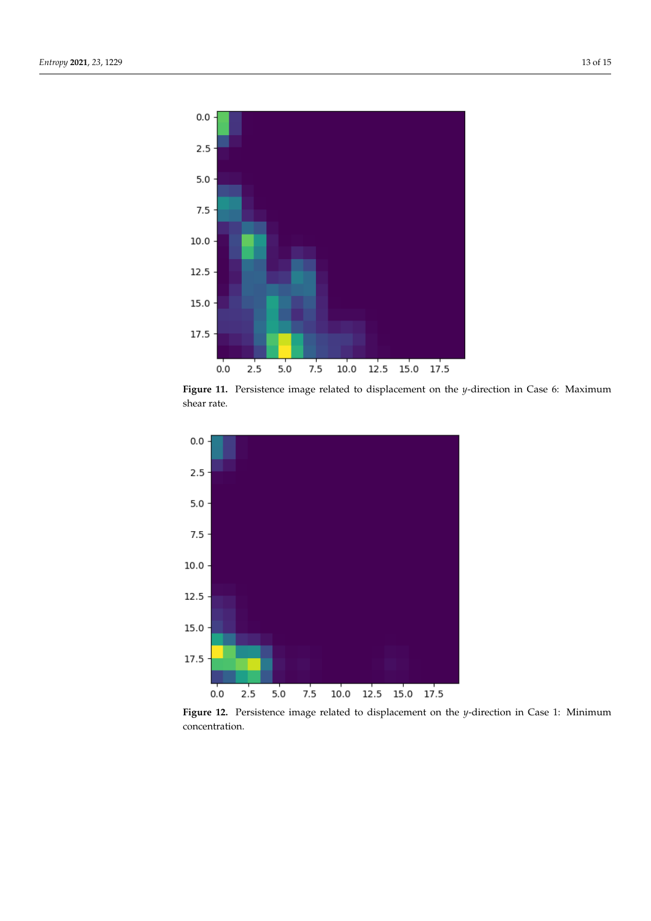

**Figure 11.** Persistence image related to displacement on the *y*-direction in Case 6: Maximum shear rate.



**Figure 12.** Persistence image related to displacement on the *y*-direction in Case 1: Minimum concentration.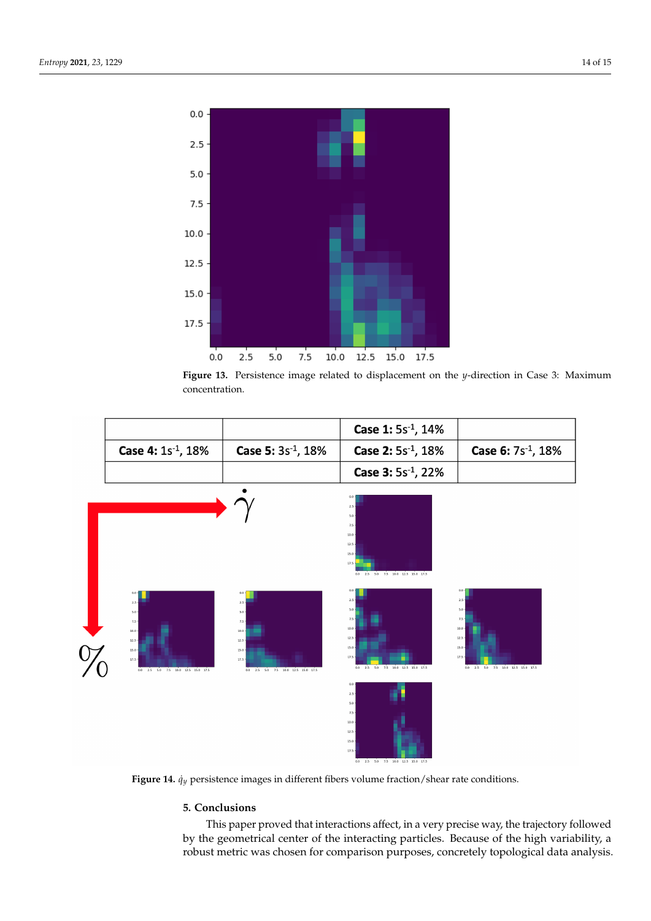<span id="page-14-1"></span>

**Figure 13.** Persistence image related to displacement on the *y*-direction in Case 3: Maximum concentration.

<span id="page-14-2"></span>

|                                   |                                   | Case 1: 5s <sup>-1</sup> , 14%    |                                |
|-----------------------------------|-----------------------------------|-----------------------------------|--------------------------------|
| <b>Case 4:</b> $1s^{-1}$ , $18\%$ | <b>Case 5:</b> $3s^{-1}$ , $18\%$ | <b>Case 2:</b> $5s^{-1}$ , $18\%$ | <b>Case 6:</b> $7s^{-1}$ , 18% |
|                                   |                                   | <b>Case 3:</b> $5s^{-1}$ , 22%    |                                |



**Figure 14.** *q*˙*y* persistence images in different fibers volume fraction/shear rate conditions.

# <span id="page-14-0"></span>**5. Conclusions**

This paper proved that interactions affect, in a very precise way, the trajectory followed by the geometrical center of the interacting particles. Because of the high variability, a robust metric was chosen for comparison purposes, concretely topological data analysis.